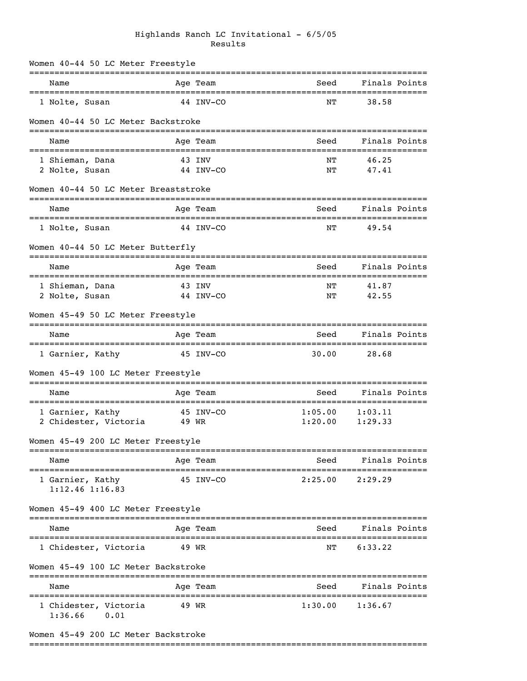## Highlands Ranch LC Invitational - 6/5/05 Results

| Women 40-44 50 LC Meter Freestyle        |           |           |                                         |                                     |  |
|------------------------------------------|-----------|-----------|-----------------------------------------|-------------------------------------|--|
| Name                                     |           | Age Team  | Seed                                    | Finals Points                       |  |
| 1 Nolte, Susan                           |           | 44 INV-CO | NΤ                                      | 38.58                               |  |
| Women 40-44 50 LC Meter Backstroke       |           |           |                                         |                                     |  |
| Name                                     |           | Age Team  | Seed                                    | Finals Points                       |  |
| 1 Shieman, Dana                          |           | 43 INV    | NΤ                                      | 46.25                               |  |
| 2 Nolte, Susan                           |           | 44 INV-CO | ΝT                                      | 47.41                               |  |
| Women 40-44 50 LC Meter Breaststroke     |           |           |                                         |                                     |  |
| Name                                     |           | Age Team  | Seed                                    | Finals Points                       |  |
| 1 Nolte, Susan                           | 44 INV-CO |           | NΤ                                      | 49.54                               |  |
| Women 40-44 50 LC Meter Butterfly        |           |           |                                         |                                     |  |
| Name                                     |           | Age Team  | Seed                                    | Finals Points                       |  |
| 1 Shieman, Dana                          |           | 43 INV    | NΤ                                      | 41.87                               |  |
| 2 Nolte, Susan                           |           | 44 INV-CO | NΤ                                      | 42.55                               |  |
| Women 45-49 50 LC Meter Freestyle        |           |           |                                         |                                     |  |
| Name                                     |           | Age Team  | ===============================<br>Seed | ------------------<br>Finals Points |  |
| 1 Garnier, Kathy                         |           | 45 INV-CO | 30.00                                   | 28.68                               |  |
| Women 45-49 100 LC Meter Freestyle       |           |           |                                         |                                     |  |
| Name                                     |           | Age Team  | Seed                                    | Finals Points                       |  |
| 1 Garnier, Kathy                         |           | 45 INV-CO | 1:05.00                                 | 1:03.11                             |  |
| 2 Chidester, Victoria                    | 49 WR     |           | 1:20.00                                 | 1:29.33                             |  |
| Women 45-49 200 LC Meter Freestyle       |           |           |                                         |                                     |  |
| Name                                     |           | Age Team  | Seed                                    | Finals Points                       |  |
| 1 Garnier, Kathy<br>$1:12.46$ $1:16.83$  |           | 45 INV-CO | 2:25.00                                 | 2:29.29                             |  |
| Women 45-49 400 LC Meter Freestyle       |           |           |                                         |                                     |  |
| Name                                     |           | Age Team  | Seed                                    | Finals Points                       |  |
| 1 Chidester, Victoria                    | 49 WR     |           | ΝT                                      | 6:33.22                             |  |
| Women 45-49 100 LC Meter Backstroke      |           |           |                                         |                                     |  |
| Name                                     |           | Age Team  | Seed                                    | Finals Points                       |  |
| 1 Chidester, Victoria<br>1:36.66<br>0.01 | 49 WR     |           | 1:30.00                                 | 1:36.67                             |  |

# Women 45-49 200 LC Meter Backstroke

## ===============================================================================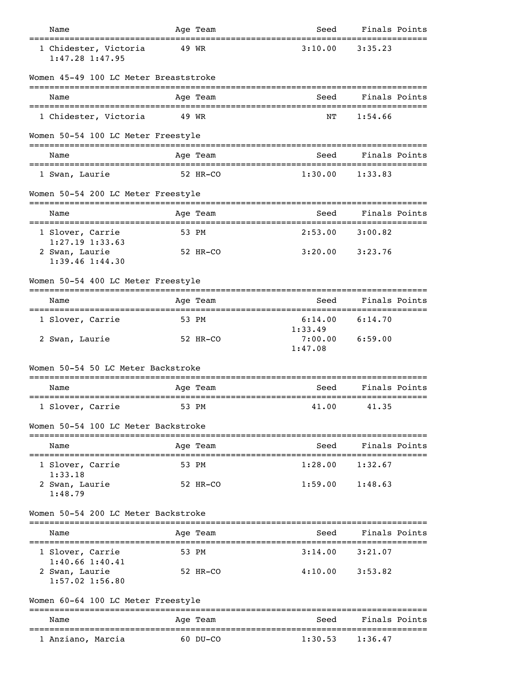| Name                                                       |       | Age Team                  | Seed                                           | Finals Points                      |  |
|------------------------------------------------------------|-------|---------------------------|------------------------------------------------|------------------------------------|--|
| 1 Chidester, Victoria<br>$1:47.28$ $1:47.95$               |       | 49 WR                     | 3:10.00                                        | 3:35.23                            |  |
| Women 45-49 100 LC Meter Breaststroke                      |       |                           |                                                |                                    |  |
| Name                                                       |       | Age Team                  | Seed                                           | Finals Points                      |  |
| 1 Chidester, Victoria                                      | 49 WR |                           | ΝT                                             | 1:54.66                            |  |
| Women 50-54 100 LC Meter Freestyle                         |       |                           |                                                |                                    |  |
| Name                                                       |       | Age Team                  | Seed                                           | Finals Points                      |  |
| 1 Swan, Laurie                                             |       | 52 HR-CO                  | 1:30.00                                        | 1:33.83                            |  |
| Women 50-54 200 LC Meter Freestyle                         |       |                           |                                                |                                    |  |
| Name                                                       |       | Age Team<br>------------- | Seed<br>-----------                            | Finals Points<br>----------------- |  |
| 1 Slover, Carrie<br>$1:27.19$ $1:33.63$                    |       | 53 PM                     | 2:53.00                                        | 3:00.82                            |  |
| 2 Swan, Laurie<br>$1:39.46$ $1:44.30$                      |       | 52 HR-CO                  |                                                | $3:20.00$ $3:23.76$                |  |
| Women 50-54 400 LC Meter Freestyle                         |       |                           |                                                |                                    |  |
| Name                                                       |       | Age Team                  | Seed                                           | Finals Points                      |  |
| 1 Slover, Carrie                                           |       | 53 PM                     | 6:14.00<br>1:33.49                             | 6:14.70                            |  |
| 2 Swan, Laurie                                             |       | 52 HR-CO                  | 7:00.00<br>1:47.08                             | 6:59.00                            |  |
| Women 50-54 50 LC Meter Backstroke                         |       |                           |                                                |                                    |  |
| Name                                                       |       | Age Team                  | Seed<br>====================================== | Finals Points                      |  |
| 1 Slover, Carrie                                           |       | 53 PM                     | 41.00                                          | 41.35                              |  |
| Women 50-54 100 LC Meter Backstroke                        |       |                           |                                                |                                    |  |
| -----------------------------<br>Name                      |       | Age Team                  | Seed                                           | Finals Points                      |  |
| 1 Slover, Carrie                                           |       | 53 PM                     | 1:28.00                                        | 1:32.67                            |  |
| 1:33.18<br>2 Swan, Laurie<br>1:48.79                       |       | 52 HR-CO                  |                                                | $1:59.00$ $1:48.63$                |  |
| Women 50-54 200 LC Meter Backstroke                        |       |                           |                                                |                                    |  |
| Name                                                       |       | Age Team                  | Seed                                           | Finals Points                      |  |
| 1 Slover, Carrie                                           |       | 53 PM                     | 3:14.00                                        | 3:21.07                            |  |
| $1:40.66$ $1:40.41$<br>2 Swan, Laurie<br>$1:57.02$ 1:56.80 |       | 52 HR-CO                  |                                                | $4:10.00$ $3:53.82$                |  |
| Women 60-64 100 LC Meter Freestyle                         |       |                           |                                                |                                    |  |
| Name                                                       |       | Age Team                  | Seed                                           | Finals Points                      |  |
| -----------------------<br>1 Anziano, Marcia               |       | $60$ DU-CO                | 1:30.53                                        | 1:36.47                            |  |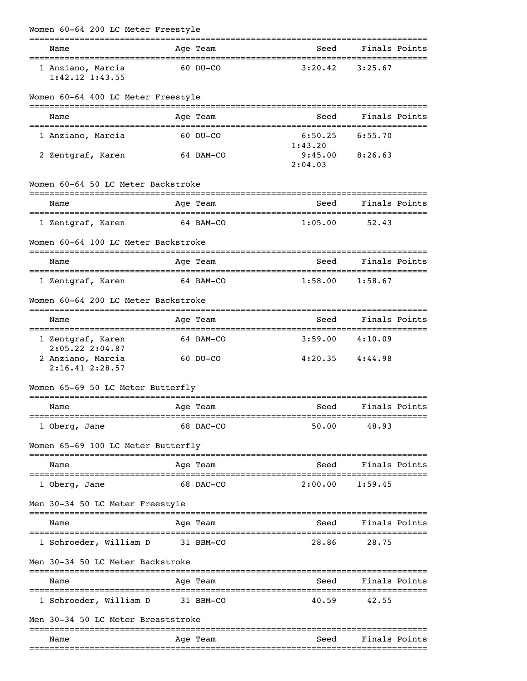| Women 60-64 200 LC Meter Freestyle                              |           |                    |                     |  |
|-----------------------------------------------------------------|-----------|--------------------|---------------------|--|
| Name                                                            | Age Team  | Seed               | Finals Points       |  |
| 1 Anziano, Marcia<br>$1:42.12$ $1:43.55$                        | 60 DU-CO  | 3:20.42            | 3:25.67             |  |
| Women 60-64 400 LC Meter Freestyle                              |           |                    |                     |  |
| Name                                                            | Age Team  | Seed               | Finals Points       |  |
| 1 Anziano, Marcia                                               | 60 DU-CO  | 6:50.25<br>1:43.20 | 6:55.70             |  |
| 2 Zentgraf, Karen                                               | 64 BAM-CO | 9:45.00<br>2:04.03 | 8:26.63             |  |
| Women 60-64 50 LC Meter Backstroke                              |           |                    |                     |  |
| Name                                                            | Age Team  | Seed               | Finals Points       |  |
| 1 Zentgraf, Karen                                               | 64 BAM-CO | 1:05.00            | 52.43               |  |
| Women 60-64 100 LC Meter Backstroke                             |           |                    |                     |  |
| Name                                                            | Age Team  | Seed               | Finals Points       |  |
| 1 Zentgraf, Karen                                               | 64 BAM-CO | 1:58.00            | 1:58.67             |  |
| Women 60-64 200 LC Meter Backstroke                             |           |                    |                     |  |
| Name                                                            | Age Team  | Seed               | Finals Points       |  |
| 1 Zentgraf, Karen                                               | 64 BAM-CO |                    | $3:59.00$ $4:10.09$ |  |
| $2:05.22$ $2:04.87$<br>2 Anziano, Marcia<br>$2:16.41$ $2:28.57$ | 60 DU-CO  |                    | $4:20.35$ $4:44.98$ |  |
| Women 65-69 50 LC Meter Butterfly                               |           |                    |                     |  |
| Name                                                            | Age Team  | Seed Finals Points |                     |  |
| 1 Oberg, Jane                                                   | 68 DAC-CO | 50.00              | 48.93               |  |
| Women 65-69 100 LC Meter Butterfly                              |           |                    |                     |  |
| Name                                                            | Age Team  |                    | Seed Finals Points  |  |
| 1 Oberg, Jane                                                   | 68 DAC-CO |                    | $2:00.00$ 1:59.45   |  |
| Men 30-34 50 LC Meter Freestyle                                 |           |                    |                     |  |
| Name                                                            | Age Team  | Seed               | Finals Points       |  |
| 1 Schroeder, William D                                          | 31 BBM-CO | 28.86              | 28.75               |  |
| Men 30-34 50 LC Meter Backstroke                                |           |                    |                     |  |
| Name                                                            | Age Team  | Seed Finals Points |                     |  |
| 1 Schroeder, William D                                          | 31 BBM-CO | 40.59              | 42.55               |  |
| Men 30-34 50 LC Meter Breaststroke                              |           |                    |                     |  |
| Name                                                            | Age Team  | Seed               | Finals Points       |  |
|                                                                 |           |                    |                     |  |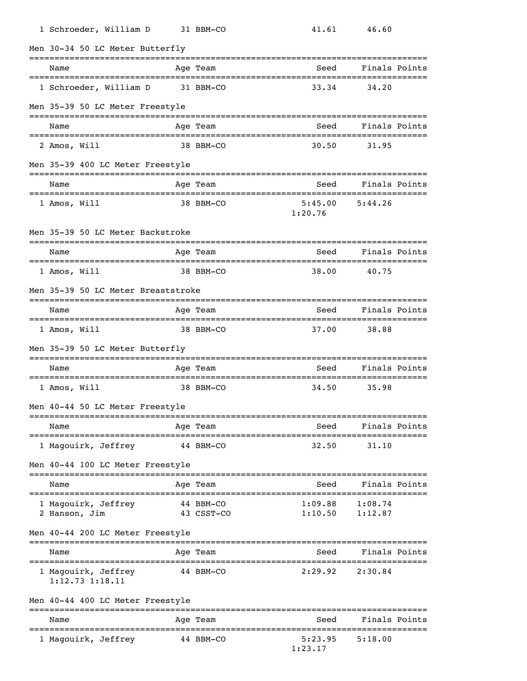| 1 Schroeder, William D                     | 31 BBM-CO                          | 41.61              | 46.60                               |  |
|--------------------------------------------|------------------------------------|--------------------|-------------------------------------|--|
| Men 30-34 50 LC Meter Butterfly            |                                    |                    |                                     |  |
| Name                                       | Age Team                           | Seed               | Finals Points                       |  |
| 1 Schroeder, William D                     | 31 BBM-CO                          | 33.34              | 34.20                               |  |
| Men 35-39 50 LC Meter Freestyle            |                                    |                    |                                     |  |
| Name                                       | Age Team                           | Seed               | Finals Points                       |  |
| 2 Amos, Will                               | 38 BBM-CO                          | 30.50              | 31.95                               |  |
| Men 35-39 400 LC Meter Freestyle           | ===============================    |                    |                                     |  |
| Name                                       | Age Team                           | Seed               | Finals Points                       |  |
| 1 Amos, Will                               | 38 BBM-CO                          | 5:45.00<br>1:20.76 | 5:44.26                             |  |
| Men 35-39 50 LC Meter Backstroke           |                                    |                    |                                     |  |
| Name                                       | Age Team                           | Seed               | Finals Points                       |  |
| 1 Amos, Will                               | 38 BBM-CO                          | 38.00              | 40.75                               |  |
| Men 35-39 50 LC Meter Breaststroke         |                                    |                    |                                     |  |
| Name<br>================================   | Age Team<br>---------------------- | Seed               | Finals Points<br>:================= |  |
| 1 Amos, Will                               | 38 BBM-CO                          | 37.00              | 38.88                               |  |
| Men 35-39 50 LC Meter Butterfly            |                                    |                    | ----------------                    |  |
| Name                                       | Age Team                           | Seed               | Finals Points                       |  |
| 1 Amos, Will                               | 38 BBM-CO                          | 34.50              | 35.98                               |  |
| Men 40-44 50 LC Meter Freestyle            |                                    |                    |                                     |  |
| Name<br>--------------                     | Age Team                           | Seed               | Finals Points                       |  |
| 1 Magouirk, Jeffrey                        | 44 BBM-CO                          | 32.50              | 31.10                               |  |
| Men 40-44 100 LC Meter Freestyle           |                                    |                    |                                     |  |
| Name                                       | Age Team                           | Seed               | Finals Points                       |  |
| 1 Magouirk, Jeffrey<br>2 Hanson, Jim       | 44 BBM-CO<br>43 CSST-CO            | 1:09.88<br>1:10.50 | 1:08.74<br>1:12.87                  |  |
| Men 40-44 200 LC Meter Freestyle           |                                    |                    | ================                    |  |
| Name                                       | Age Team                           | Seed               | Finals Points<br>===============    |  |
| 1 Magouirk, Jeffrey<br>$1:12.73$ $1:18.11$ | 44 BBM-CO                          | 2:29.92            | 2:30.84                             |  |
| Men 40-44 400 LC Meter Freestyle           |                                    |                    |                                     |  |
| Name                                       | Age Team                           | Seed               | Finals Points                       |  |
| 1 Magouirk, Jeffrey                        | 44 BBM-CO                          | 5:23.95<br>1:23.17 | 5:18.00                             |  |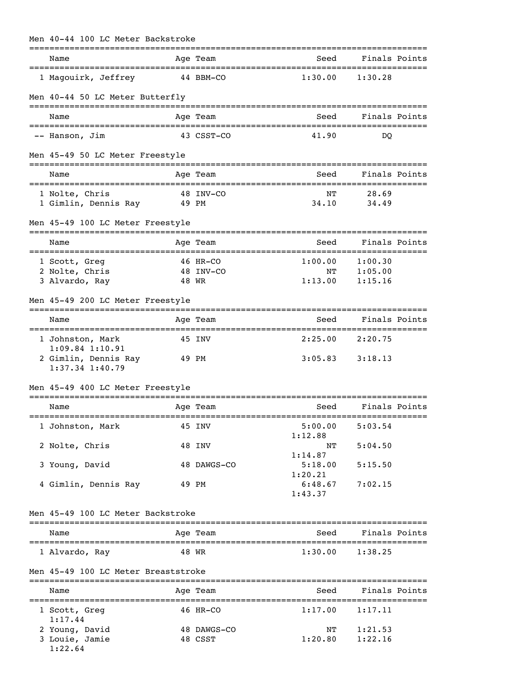| Name                                              |          | Age Team               | Seed               | Finals Points       |  |
|---------------------------------------------------|----------|------------------------|--------------------|---------------------|--|
| 1 Magouirk, Jeffrey                               |          | 44 BBM-CO              | 1:30.00            | 1:30.28             |  |
|                                                   |          |                        |                    |                     |  |
| Men 40-44 50 LC Meter Butterfly                   |          |                        |                    |                     |  |
| Name                                              |          | Age Team               |                    | Seed Finals Points  |  |
| -- Hanson, Jim                                    |          | 43 CSST-CO             | 41.90              | DO.                 |  |
| Men 45-49 50 LC Meter Freestyle                   |          |                        |                    |                     |  |
| Name                                              |          | Age Team               | Seed               | Finals Points       |  |
| 1 Nolte, Chris                                    |          | 48 INV-CO              | NΤ                 | 28.69               |  |
| 1 Gimlin, Dennis Ray 49 PM                        |          |                        | 34.10              | 34.49               |  |
| Men 45-49 100 LC Meter Freestyle                  |          |                        |                    |                     |  |
| Name                                              |          | Age Team               | Seed               | Finals Points       |  |
| 1 Scott, Greg                                     | 46 HR-CO |                        | 1:00.00            | 1:00.30             |  |
| 2 Nolte, Chris                                    |          | 48 INV-CO              | NΤ                 | 1:05.00             |  |
| 3 Alvardo, Ray                                    |          | 48 WR                  | 1:13.00            | 1:15.16             |  |
| Men 45-49 200 LC Meter Freestyle                  |          |                        |                    |                     |  |
| Name                                              |          | Age Team               | Seed               | Finals Points       |  |
| 1 Johnston, Mark<br>$1:09.84$ 1:10.91             | 45 INV   |                        |                    | $2:25.00$ $2:20.75$ |  |
| 2 Gimlin, Dennis Ray 49 PM<br>$1:37.34$ $1:40.79$ |          |                        |                    | $3:05.83$ $3:18.13$ |  |
| Men 45-49 400 LC Meter Freestyle                  |          |                        |                    |                     |  |
| Name                                              |          | Age Team               | Seed               | Finals Points       |  |
| 1 Johnston, Mark 45 INV 5:00.00 5:03.54           |          |                        |                    |                     |  |
| 2 Nolte, Chris                                    |          | 48 INV                 | 1:12.88<br>NΤ      | 5:04.50             |  |
| 3 Young, David                                    |          | 48 DAWGS-CO            | 1:14.87<br>5:18.00 | 5:15.50             |  |
|                                                   |          |                        | 1:20.21            |                     |  |
| 4 Gimlin, Dennis Ray                              |          | 49 PM                  | 6:48.67<br>1:43.37 | 7:02.15             |  |
| Men 45-49 100 LC Meter Backstroke                 |          |                        |                    |                     |  |
| Name                                              |          | Age Team               | Seed               | Finals Points       |  |
| 1 Alvardo, Ray                                    |          | 48 WR                  | 1:30.00            | 1:38.25             |  |
| Men 45-49 100 LC Meter Breaststroke               |          |                        |                    |                     |  |
| Name                                              |          | Age Team               | Seed               | Finals Points       |  |
| 1 Scott, Greg                                     |          | 46 HR-CO               | 1:17.00            | 1:17.11             |  |
| 1:17.44<br>2 Young, David<br>3 Louie, Jamie       |          | 48 DAWGS-CO<br>48 CSST | ΝT<br>1:20.80      | 1:21.53<br>1:22.16  |  |

# Men 40-44 100 LC Meter Backstroke

1:22.64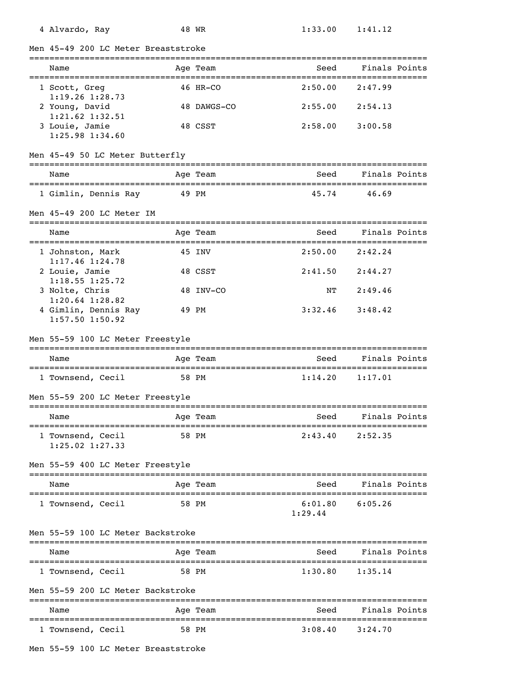|  |  | 4 Alvardo, |  | Ray |  |
|--|--|------------|--|-----|--|
|--|--|------------|--|-----|--|

Men 45-49 200 LC Meter Breaststroke =============================================================================== Name Team Age Team Seed Finals Points =============================================================================== 1 Scott, Greg 46 HR-CO 2:50.00 2:47.99 1:19.26 1:28.73 2 Young, David 48 DAWGS-CO 2:55.00 2:54.13 1:21.62 1:32.51 3 Louie, Jamie 48 CSST 2:58.00 3:00.58 1:25.98 1:34.60 Men 45-49 50 LC Meter Butterfly =============================================================================== Name Age Team Seed Finals Points

=============================================================================== 1 Gimlin, Dennis Ray 49 PM 45.74 46.69

## Men 45-49 200 LC Meter IM

| Name                                        | Age Team  | Seed    | Finals Points |
|---------------------------------------------|-----------|---------|---------------|
| 1 Johnston, Mark<br>$1:17.46$ $1:24.78$     | 45 INV    | 2:50.00 | 2:42.24       |
| 2 Louie, Jamie<br>$1:18.55$ $1:25.72$       | 48 CSST   | 2:41.50 | 2:44.27       |
| 3 Nolte, Chris<br>$1:20.64$ $1:28.82$       | 48 INV-CO | NТ      | 2:49.46       |
| 4 Gimlin, Dennis Ray<br>$1:57.50$ $1:50.92$ | 49 PM     | 3:32.46 | 3:48.42       |

## Men 55-59 100 LC Meter Freestyle

| Name            | Age Team | Seed    | Finals Points |
|-----------------|----------|---------|---------------|
|                 |          |         |               |
| Townsend, Cecil | 58 PM    | 1:14.20 | 1:17.01       |

## Men 55-59 200 LC Meter Freestyle

| Name                                     | Age Team | Seed    | Finals Points |
|------------------------------------------|----------|---------|---------------|
| 1 Townsend, Cecil<br>$1:25.02$ $1:27.33$ | 58 PM    | 2:43.40 | 2:52.35       |

#### Men 55-59 400 LC Meter Freestyle

| Name              |       | Age Team | Seed               | Finals Points |
|-------------------|-------|----------|--------------------|---------------|
| 1 Townsend, Cecil | 58 PM |          | 6:01.80<br>1:29.44 | 6:05.26       |

#### Men 55-59 100 LC Meter Backstroke

| Name              | Age Team | Seed    | Finals Points |
|-------------------|----------|---------|---------------|
| 1 Townsend, Cecil | 58 PM    | 1:30.80 | 1:35.14       |

Men 55-59 200 LC Meter Backstroke

| Name            | Age Team | Seed    | Finals Points |
|-----------------|----------|---------|---------------|
| Townsend, Cecil | 58 PM    | 3:08.40 | 3:24.70       |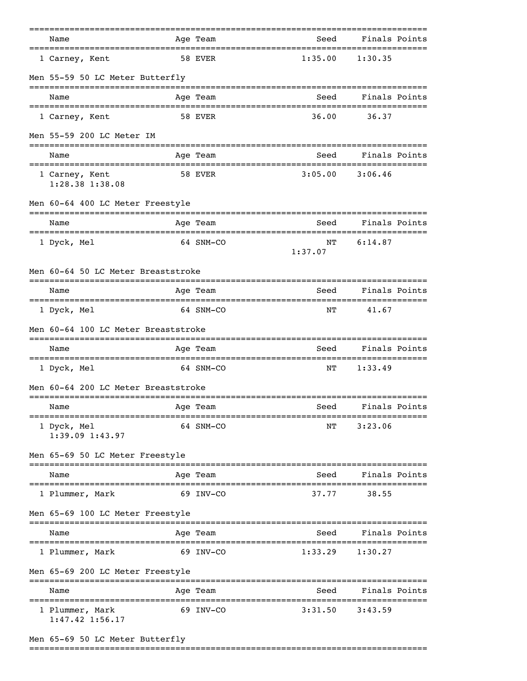| Name                                                                                  |  | Age Team                        | Seed                                  | Finals Points |         |  |  |  |
|---------------------------------------------------------------------------------------|--|---------------------------------|---------------------------------------|---------------|---------|--|--|--|
| 1 Carney, Kent                                                                        |  | 58 EVER                         | 1:35.00                               | 1:30.35       |         |  |  |  |
| Men 55-59 50 LC Meter Butterfly                                                       |  |                                 |                                       |               |         |  |  |  |
| Name                                                                                  |  | Age Team                        | Seed                                  | Finals Points |         |  |  |  |
| 1 Carney, Kent                                                                        |  | 58 EVER                         | 36.00                                 | 36.37         |         |  |  |  |
| Men 55-59 200 LC Meter IM                                                             |  |                                 |                                       |               |         |  |  |  |
| Name                                                                                  |  | Age Team                        | Seed                                  | Finals Points |         |  |  |  |
| 1 Carney, Kent<br>1:28.38 1:38.08                                                     |  | 58 EVER                         | 3:05.00                               | 3:06.46       |         |  |  |  |
| Men 60-64 400 LC Meter Freestyle                                                      |  |                                 |                                       |               |         |  |  |  |
| Name                                                                                  |  | Age Team<br>=================== | Seed<br>============================= | Finals Points |         |  |  |  |
| 1 Dyck, Mel                                                                           |  | 64 SNM-CO                       | NΤ<br>1:37.07                         | 6:14.87       |         |  |  |  |
| Men 60-64 50 LC Meter Breaststroke                                                    |  |                                 |                                       |               |         |  |  |  |
| Name                                                                                  |  | Age Team                        | Seed                                  | Finals Points |         |  |  |  |
| 1 Dyck, Mel                                                                           |  | 64 SNM-CO                       | NΤ                                    | 41.67         |         |  |  |  |
| Men 60-64 100 LC Meter Breaststroke                                                   |  |                                 |                                       |               |         |  |  |  |
| Name                                                                                  |  | Age Team                        | Seed                                  | Finals Points |         |  |  |  |
| 1 Dyck, Mel                                                                           |  | 64 SNM-CO                       | NΤ                                    | 1:33.49       |         |  |  |  |
| Men 60-64 200 LC Meter Breaststroke<br>------------------------<br>------------------ |  |                                 |                                       |               |         |  |  |  |
| Name                                                                                  |  | Age Team                        | Seed                                  | Finals Points |         |  |  |  |
| 1 Dyck, Mel<br>$1:39.09$ $1:43.97$                                                    |  | 64 SNM-CO                       | NΤ                                    | 3:23.06       |         |  |  |  |
| Men 65-69 50 LC Meter Freestyle                                                       |  |                                 |                                       |               |         |  |  |  |
| Name                                                                                  |  | Age Team                        | Seed                                  | Finals Points |         |  |  |  |
| 1 Plummer, Mark                                                                       |  | 69 INV-CO                       | 37.77                                 | 38.55         |         |  |  |  |
| Men 65-69 100 LC Meter Freestyle                                                      |  |                                 |                                       |               |         |  |  |  |
| Name                                                                                  |  | Age Team                        | Seed                                  | Finals Points |         |  |  |  |
| 1 Plummer, Mark                                                                       |  | 69 INV-CO                       | 1:33.29                               | 1:30.27       |         |  |  |  |
| Men 65-69 200 LC Meter Freestyle                                                      |  |                                 |                                       |               |         |  |  |  |
| Name                                                                                  |  | Age Team                        | Seed                                  | Finals Points |         |  |  |  |
| 1 Plummer, Mark<br>$1:47.42$ $1:56.17$                                                |  | 69 INV-CO                       | 3:31.50                               | 3:43.59       | ======= |  |  |  |

===============================================================================